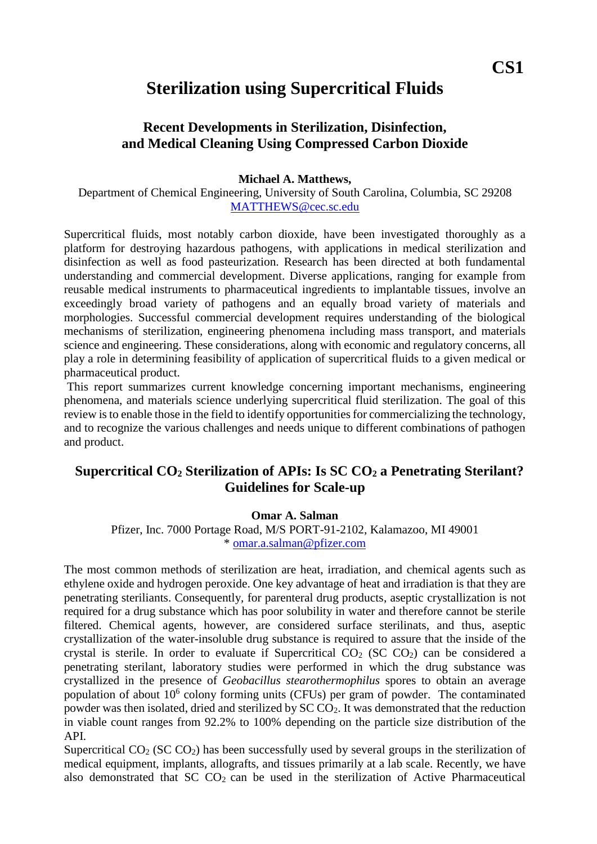# **CS1**

# **Sterilization using Supercritical Fluids**

### **Recent Developments in Sterilization, Disinfection, and Medical Cleaning Using Compressed Carbon Dioxide**

#### **Michael A. Matthews,**

Department of Chemical Engineering, University of South Carolina, Columbia, SC 29208 [MATTHEWS@cec.sc.edu](mailto:MATTHEWS@cec.sc.edu)

Supercritical fluids, most notably carbon dioxide, have been investigated thoroughly as a platform for destroying hazardous pathogens, with applications in medical sterilization and disinfection as well as food pasteurization. Research has been directed at both fundamental understanding and commercial development. Diverse applications, ranging for example from reusable medical instruments to pharmaceutical ingredients to implantable tissues, involve an exceedingly broad variety of pathogens and an equally broad variety of materials and morphologies. Successful commercial development requires understanding of the biological mechanisms of sterilization, engineering phenomena including mass transport, and materials science and engineering. These considerations, along with economic and regulatory concerns, all play a role in determining feasibility of application of supercritical fluids to a given medical or pharmaceutical product.

This report summarizes current knowledge concerning important mechanisms, engineering phenomena, and materials science underlying supercritical fluid sterilization. The goal of this review is to enable those in the field to identify opportunities for commercializing the technology, and to recognize the various challenges and needs unique to different combinations of pathogen and product.

### **Supercritical CO<sup>2</sup> Sterilization of APIs: Is SC CO<sup>2</sup> a Penetrating Sterilant? Guidelines for Scale-up**

#### **Omar A. Salman**

Pfizer, Inc. 7000 Portage Road, M/S PORT-91-2102, Kalamazoo, MI 49001 \* [omar.a.salman@pfizer.com](mailto:omar.a.salman@pfizer.com)

The most common methods of sterilization are heat, irradiation, and chemical agents such as ethylene oxide and hydrogen peroxide. One key advantage of heat and irradiation is that they are penetrating steriliants. Consequently, for parenteral drug products, aseptic crystallization is not required for a drug substance which has poor solubility in water and therefore cannot be sterile filtered. Chemical agents, however, are considered surface sterilinats, and thus, aseptic crystallization of the water-insoluble drug substance is required to assure that the inside of the crystal is sterile. In order to evaluate if Supercritical  $CO<sub>2</sub>$  (SC  $CO<sub>2</sub>$ ) can be considered a penetrating sterilant, laboratory studies were performed in which the drug substance was crystallized in the presence of *Geobacillus stearothermophilus* spores to obtain an average population of about  $10^6$  colony forming units (CFUs) per gram of powder. The contaminated powder was then isolated, dried and sterilized by  $SCCO<sub>2</sub>$ . It was demonstrated that the reduction in viable count ranges from 92.2% to 100% depending on the particle size distribution of the API.

Supercritical  $CO<sub>2</sub> (SC CO<sub>2</sub>)$  has been successfully used by several groups in the sterilization of medical equipment, implants, allografts, and tissues primarily at a lab scale. Recently, we have also demonstrated that  $SC CO<sub>2</sub>$  can be used in the sterilization of Active Pharmaceutical